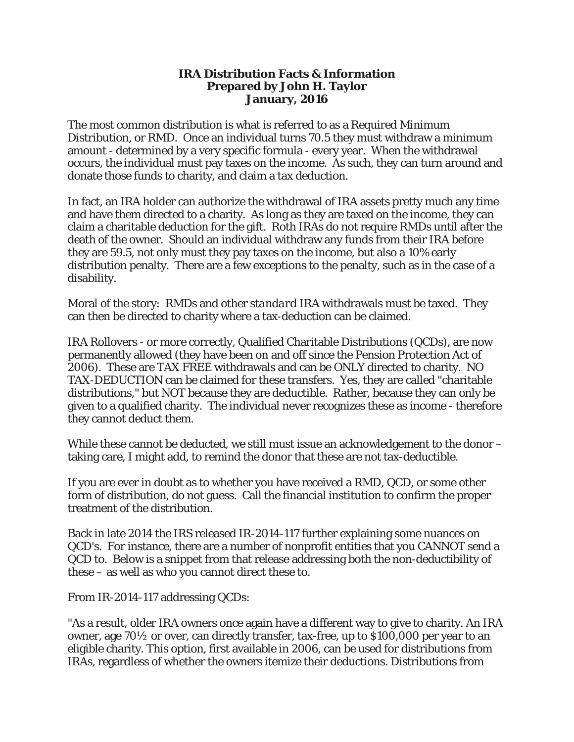# **IRA Distribution Facts & Information Prepared by John H. Taylor January, 2016**

The most common distribution is what is referred to as a Required Minimum Distribution, or RMD. Once an individual turns 70.5 they must withdraw a minimum amount - determined by a very specific formula - every year. When the withdrawal occurs, the individual must pay taxes on the income. As such, they can turn around and donate those funds to charity, and claim a tax deduction.

In fact, an IRA holder can authorize the withdrawal of IRA assets pretty much any time and have them directed to a charity. As long as they are taxed on the income, they can claim a charitable deduction for the gift. Roth IRAs do not require RMDs until after the death of the owner. Should an individual withdraw any funds from their IRA before they are 59.5, not only must they pay taxes on the income, but also a 10% early distribution penalty. There are a few exceptions to the penalty, such as in the case of a disability.

Moral of the story: RMDs and other *standard* IRA withdrawals must be taxed. They can then be directed to charity where a tax-deduction can be claimed.

IRA Rollovers - or more correctly, Qualified Charitable Distributions (QCDs), are now permanently allowed (they have been on and off since the Pension Protection Act of 2006). These are TAX FREE withdrawals and can be ONLY directed to charity. NO TAX-DEDUCTION can be claimed for these transfers. Yes, they are called "charitable distributions," but NOT because they are deductible. Rather, because they can only be given to a qualified charity. The individual never recognizes these as income - therefore they cannot deduct them.

While these cannot be deducted, we still must issue an acknowledgement to the donor – taking care, I might add, to remind the donor that these are not tax-deductible.

If you are ever in doubt as to whether you have received a RMD, QCD, or some other form of distribution, do not guess. Call the financial institution to confirm the proper treatment of the distribution.

Back in late 2014 the IRS released IR-2014-117 further explaining some nuances on QCD's. For instance, there are a number of nonprofit entities that you CANNOT send a QCD to. Below is a snippet from that release addressing both the non-deductibility of these – as well as who you cannot direct these to.

From IR-2014-117 addressing QCDs:

"As a result, older IRA owners once again have a different way to give to charity. An IRA owner, age 70½ or over, can directly transfer, tax-free, up to \$100,000 per year to an eligible charity. This option, first available in 2006, can be used for distributions from IRAs, regardless of whether the owners itemize their deductions. Distributions from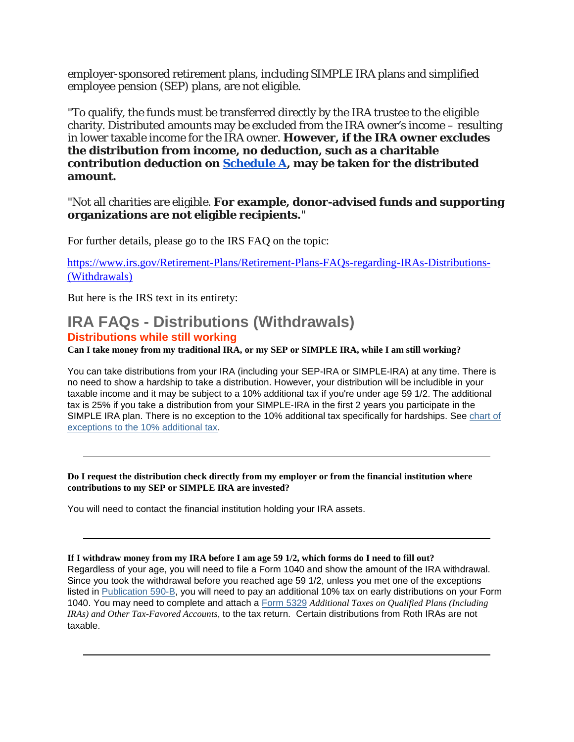employer-sponsored retirement plans, including SIMPLE IRA plans and simplified employee pension (SEP) plans, are not eligible.

"To qualify, the funds must be transferred directly by the IRA trustee to the eligible charity. Distributed amounts may be excluded from the IRA owner's income – resulting in lower taxable income for the IRA owner. **However, if the IRA owner excludes the distribution from income, no deduction, such as a charitable contribution deduction on [Schedule A,](https://www.irs.gov/uac/Schedule-A-%28Form-1040%29,-Itemized-Deductions) may be taken for the distributed amount.**

"Not all charities are eligible. **For example, donor-advised funds and supporting organizations are not eligible recipients.**"

For further details, please go to the IRS FAQ on the topic:

[https://www.irs.gov/Retirement-Plans/Retirement-Plans-FAQs-regarding-IRAs-Distributions-](https://www.irs.gov/Retirement-Plans/Retirement-Plans-FAQs-regarding-IRAs-Distributions-(Withdrawals)) [\(Withdrawals\)](https://www.irs.gov/Retirement-Plans/Retirement-Plans-FAQs-regarding-IRAs-Distributions-(Withdrawals))

But here is the IRS text in its entirety:

# **IRA FAQs - Distributions (Withdrawals) Distributions while still working**

Can I take money from my traditional IRA, or my SEP or SIMPLE IRA, while I am still working?

You can take distributions from your IRA (including your SEP-IRA or SIMPLE-IRA) at any time. There is no need to show a hardship to take a distribution. However, your distribution will be includible in your taxable income and it may be subject to a 10% additional tax if you're under age 59 1/2. The additional tax is 25% if you take a distribution from your SIMPLE-IRA in the first 2 years you participate in the SIMPLE IRA plan. There is no exception to the 10% additional tax specifically for hardships. See [chart of](https://www.irs.gov/Retirement-Plans/Plan-Participant,-Employee/Retirement-Topics---Tax-on-Early-Distributions)  [exceptions to the 10% additional tax.](https://www.irs.gov/Retirement-Plans/Plan-Participant,-Employee/Retirement-Topics---Tax-on-Early-Distributions)

**Do I request the distribution check directly from my employer or from the financial institution where contributions to my SEP or SIMPLE IRA are invested?**

You will need to contact the financial institution holding your IRA assets.

# If I withdraw money from my IRA before I am age 59 1/2, which forms do I need to fill out?

Regardless of your age, you will need to file a Form 1040 and show the amount of the IRA withdrawal. Since you took the withdrawal before you reached age 59 1/2, unless you met one of the exceptions listed in [Publication 590-B,](https://www.irs.gov/publications/p590b/index.html) you will need to pay an additional 10% tax on early distributions on your Form 1040. You may need to complete and attach a [Form 5329](https://www.irs.gov/pub/irs-pdf/f5329.pdf) *Additional Taxes on Qualified Plans (Including IRAs) and Other Tax-Favored Accounts*, to the tax return. Certain distributions from Roth IRAs are not taxable.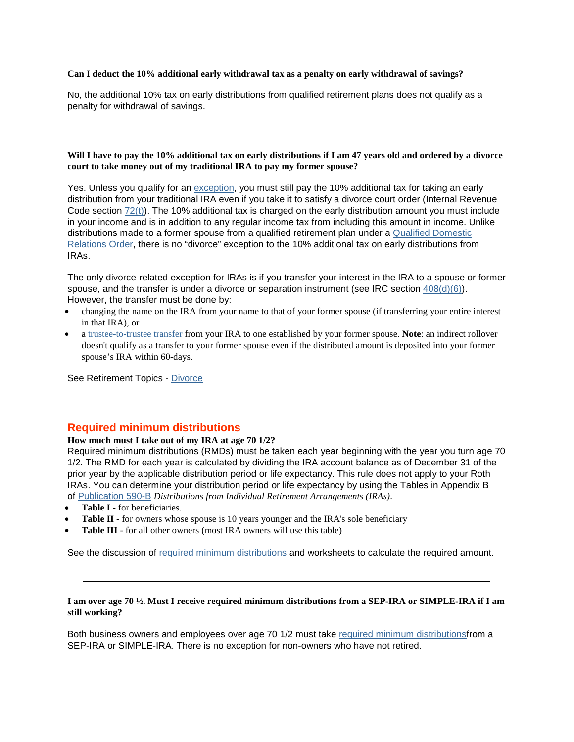#### **Can I deduct the 10% additional early withdrawal tax as a penalty on early withdrawal of savings?**

No, the additional 10% tax on early distributions from qualified retirement plans does not qualify as a penalty for withdrawal of savings.

#### Will I have to pay the 10% additional tax on early distributions if I am 47 years old and ordered by a divorce **court to take money out of my traditional IRA to pay my former spouse?**

Yes. Unless you qualify for an [exception,](https://www.irs.gov/Retirement-Plans/Plan-Participant,-Employee/Retirement-Topics---Tax-on-Early-Distributions) you must still pay the 10% additional tax for taking an early distribution from your traditional IRA even if you take it to satisfy a divorce court order (Internal Revenue Code section [72\(t\)\)](https://apps.irs.gov/app/scripts/exit.jsp?dest=http://www.law.cornell.edu/uscode/text/26/72). The 10% additional tax is charged on the early distribution amount you must include in your income and is in addition to any regular income tax from including this amount in income. Unlike distributions made to a former spouse from a qualified retirement plan under a [Qualified Domestic](https://www.irs.gov/Retirement-Plans/Plan-Participant,-Employee/Retirement-Topics-QDRO-Qualified-Domestic-Relations-Order)  [Relations Order,](https://www.irs.gov/Retirement-Plans/Plan-Participant,-Employee/Retirement-Topics-QDRO-Qualified-Domestic-Relations-Order) there is no "divorce" exception to the 10% additional tax on early distributions from IRAs.

The only divorce-related exception for IRAs is if you transfer your interest in the IRA to a spouse or former spouse, and the transfer is under a divorce or separation instrument (see IRC section [408\(d\)\(6\)\)](https://apps.irs.gov/app/scripts/exit.jsp?dest=http://www.law.cornell.edu/uscode/text/26/408). However, the transfer must be done by:

- changing the name on the IRA from your name to that of your former spouse (if transferring your entire interest in that IRA), or
- a [trustee-to-trustee transfer](https://www.irs.gov/publications/p590a/index.html) from your IRA to one established by your former spouse. **Note**: an indirect rollover doesn't qualify as a transfer to your former spouse even if the distributed amount is deposited into your former spouse's IRA within 60-days.

See Retirement Topics - [Divorce](https://www.irs.gov/Retirement-Plans/Plan-Participant,-Employee/Retirement-Topics---Divorce)

# **Required minimum distributions**

# **How much must I take out of my IRA at age 70 1/2?**

Required minimum distributions (RMDs) must be taken each year beginning with the year you turn age 70 1/2. The RMD for each year is calculated by dividing the IRA account balance as of December 31 of the prior year by the applicable distribution period or life expectancy. This rule does not apply to your Roth IRAs. You can determine your distribution period or life expectancy by using the Tables in Appendix B of [Publication 590-B](https://www.irs.gov/publications/p590b/index.html) *Distributions from Individual Retirement Arrangements (IRAs)*.

- **Table I** for beneficiaries.
- **Table II** for owners whose spouse is 10 years younger and the IRA's sole beneficiary
- **Table III** for all other owners (most IRA owners will use this table)

See the discussion of [required minimum distributions](https://www.irs.gov/Retirement-Plans/Plan-Participant,-Employee/Retirement-Topics-Required-Minimum-Distributions-(RMDs)) and worksheets to calculate the required amount.

#### I am over age 70 1/2. Must I receive required minimum distributions from a SEP-IRA or SIMPLE-IRA if I am **still working?**

Both business owners and employees over age 70 1/2 must take [required minimum distributionsf](https://www.irs.gov/Retirement-Plans/Plan-Participant,-Employee/Retirement-Topics-Required-Minimum-Distributions-(RMDs))rom a SEP-IRA or SIMPLE-IRA. There is no exception for non-owners who have not retired.